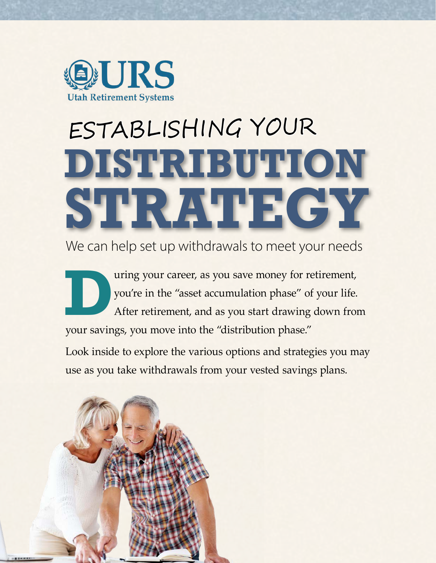

# ESTABLISHING YOUR **DISTRIBUTION STRATEGY**

We can help set up withdrawals to meet your needs

**DEN** UNIVER THE WALK WALK WAS SERVERT AT A FIRE WAS A SERVERT OF THE MAIN A SERVERT POINT AND A SURVEY OF YOUR DENSITY OF THE MAIN AND A SURVEY OF YOUR DENSITY OF THE MAIN AND A SURVEY OF THE MAIN AND A SURVEY OF THE MAIN you're in the "asset accumulation phase" of your life. After retirement, and as you start drawing down from your savings, you move into the "distribution phase."

Look inside to explore the various options and strategies you may use as you take withdrawals from your vested savings plans.

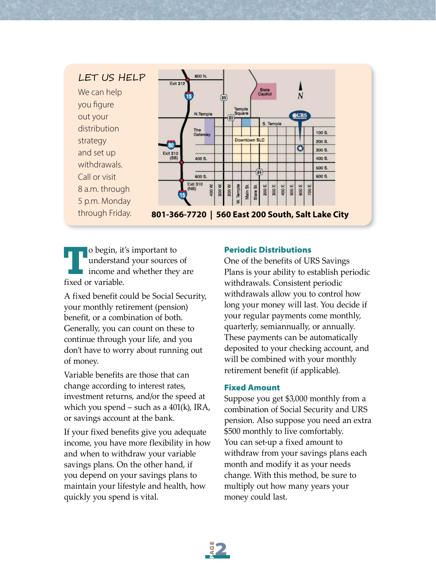# LET US HELP

We can help you figure out your distribution strategy and set up withdrawals. Call or visit 8 a.m. through 5 p.m. Monday



through Friday. **801-366-7720 | 560 East 200 South, Salt Lake City**

**T**o begin, it's important to understand your sources income and whether they understand your sources of income and whether they are fixed or variable.

A fixed benefit could be Social Security, your monthly retirement (pension) benefit, or a combination of both. Generally, you can count on these to continue through your life, and you don't have to worry about running out of money.

Variable benefits are those that can change according to interest rates, investment returns, and/or the speed at which you spend – such as a  $401(k)$ , IRA, or savings account at the bank.

If your fixed benefits give you adequate income, you have more flexibility in how and when to withdraw your variable savings plans. On the other hand, if you depend on your savings plans to maintain your lifestyle and health, how quickly you spend is vital.

#### Periodic Distributions

One of the benefits of URS Savings Plans is your ability to establish periodic withdrawals. Consistent periodic withdrawals allow you to control how long your money will last. You decide if your regular payments come monthly, quarterly, semiannually, or annually. These payments can be automatically deposited to your checking account, and will be combined with your monthly retirement benefit (if applicable).

#### Fixed Amount

Suppose you get \$3,000 monthly from a combination of Social Security and URS pension. Also suppose you need an extra \$500 monthly to live comfortably. You can set-up a fixed amount to withdraw from your savings plans each month and modify it as your needs change. With this method, be sure to multiply out how many years your money could last.

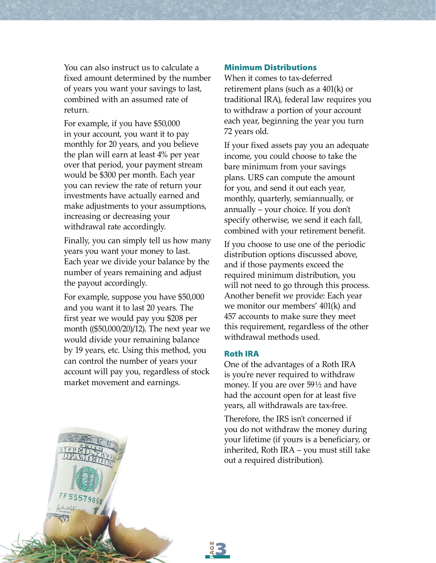You can also instruct us to calculate a fixed amount determined by the number of years you want your savings to last, combined with an assumed rate of return.

For example, if you have \$50,000 in your account, you want it to pay monthly for 20 years, and you believe the plan will earn at least 4% per year over that period, your payment stream would be \$300 per month. Each year you can review the rate of return your investments have actually earned and make adjustments to your assumptions, increasing or decreasing your withdrawal rate accordingly.

Finally, you can simply tell us how many years you want your money to last. Each year we divide your balance by the number of years remaining and adjust the payout accordingly.

For example, suppose you have \$50,000 and you want it to last 20 years. The first year we would pay you \$208 per month ((\$50,000/20)/12). The next year we would divide your remaining balance by 19 years, etc. Using this method, you can control the number of years your account will pay you, regardless of stock market movement and earnings.

#### Minimum Distributions

When it comes to tax-deferred retirement plans (such as a 401(k) or traditional IRA), federal law requires you to withdraw a portion of your account each year, beginning the year you turn 72 years old.

If your fixed assets pay you an adequate income, you could choose to take the bare minimum from your savings plans. URS can compute the amount for you, and send it out each year, monthly, quarterly, semiannually, or annually – your choice. If you don't specify otherwise, we send it each fall, combined with your retirement benefit.

If you choose to use one of the periodic distribution options discussed above, and if those payments exceed the required minimum distribution, you will not need to go through this process. Another benefit we provide: Each year we monitor our members' 401(k) and 457 accounts to make sure they meet this requirement, regardless of the other withdrawal methods used.

#### Roth IRA

One of the advantages of a Roth IRA is you're never required to withdraw money. If you are over 59½ and have had the account open for at least five years, all withdrawals are tax-free.

Therefore, the IRS isn't concerned if you do not withdraw the money during your lifetime (if yours is a beneficiary, or inherited, Roth IRA – you must still take out a required distribution).



5557985